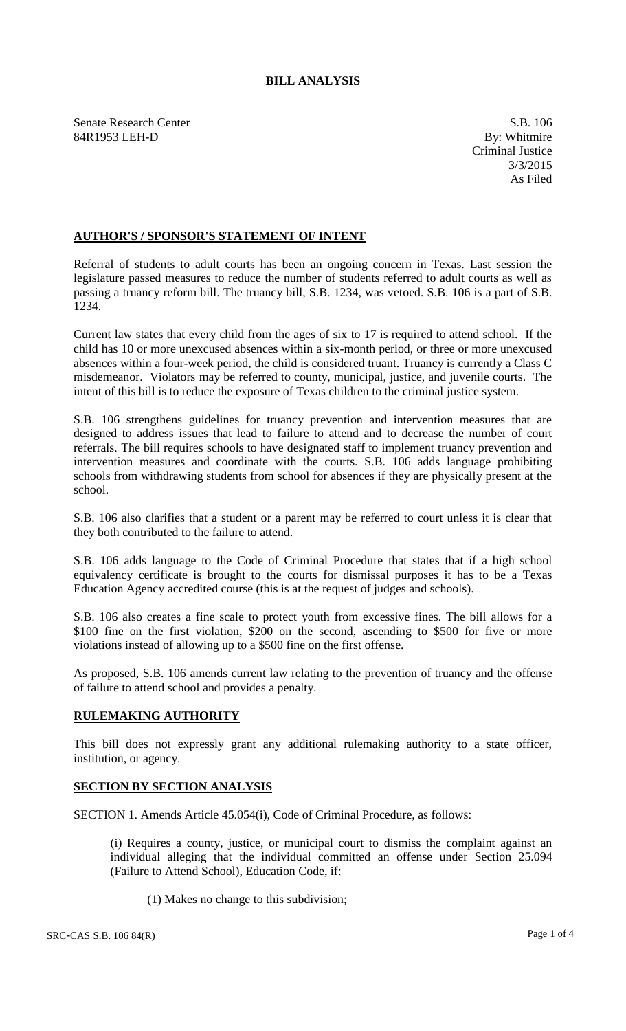## **BILL ANALYSIS**

Senate Research Center S.B. 106<br>
84R1953 LEH-D By: Whitmire 84R1953 LEH-D

## **AUTHOR'S / SPONSOR'S STATEMENT OF INTENT**

Referral of students to adult courts has been an ongoing concern in Texas. Last session the legislature passed measures to reduce the number of students referred to adult courts as well as passing a truancy reform bill. The truancy bill, S.B. 1234, was vetoed. S.B. 106 is a part of S.B. 1234.

Current law states that every child from the ages of six to 17 is required to attend school. If the child has 10 or more unexcused absences within a six-month period, or three or more unexcused absences within a four-week period, the child is considered truant. Truancy is currently a Class C misdemeanor. Violators may be referred to county, municipal, justice, and juvenile courts. The intent of this bill is to reduce the exposure of Texas children to the criminal justice system.

S.B. 106 strengthens guidelines for truancy prevention and intervention measures that are designed to address issues that lead to failure to attend and to decrease the number of court referrals. The bill requires schools to have designated staff to implement truancy prevention and intervention measures and coordinate with the courts. S.B. 106 adds language prohibiting schools from withdrawing students from school for absences if they are physically present at the school.

S.B. 106 also clarifies that a student or a parent may be referred to court unless it is clear that they both contributed to the failure to attend.

S.B. 106 adds language to the Code of Criminal Procedure that states that if a high school equivalency certificate is brought to the courts for dismissal purposes it has to be a Texas Education Agency accredited course (this is at the request of judges and schools).

S.B. 106 also creates a fine scale to protect youth from excessive fines. The bill allows for a \$100 fine on the first violation, \$200 on the second, ascending to \$500 for five or more violations instead of allowing up to a \$500 fine on the first offense.

As proposed, S.B. 106 amends current law relating to the prevention of truancy and the offense of failure to attend school and provides a penalty.

## **RULEMAKING AUTHORITY**

This bill does not expressly grant any additional rulemaking authority to a state officer, institution, or agency.

## **SECTION BY SECTION ANALYSIS**

SECTION 1. Amends Article 45.054(i), Code of Criminal Procedure, as follows:

(i) Requires a county, justice, or municipal court to dismiss the complaint against an individual alleging that the individual committed an offense under Section 25.094 (Failure to Attend School), Education Code, if:

(1) Makes no change to this subdivision;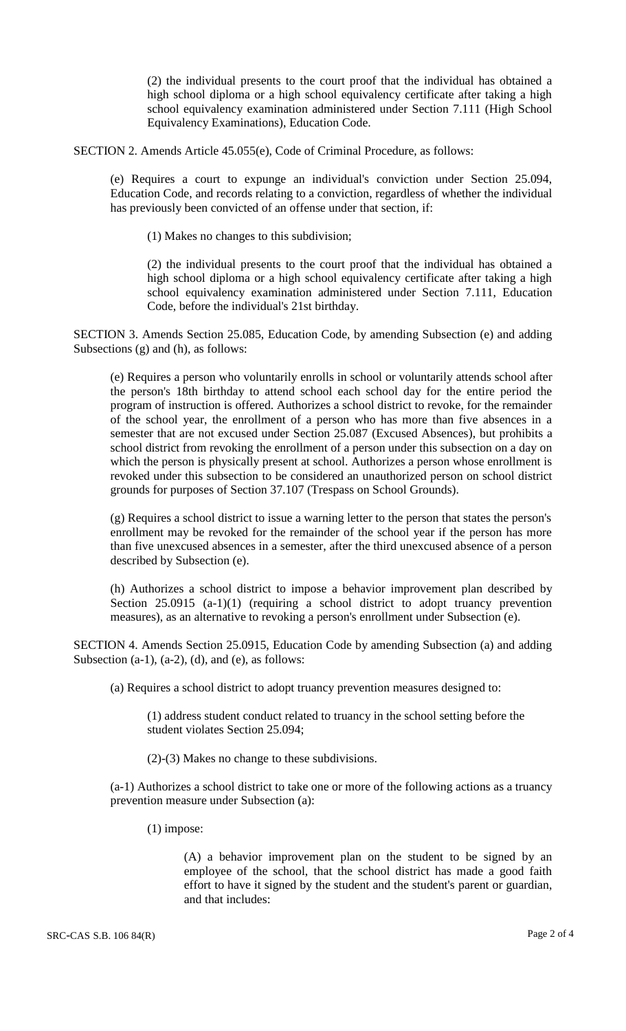(2) the individual presents to the court proof that the individual has obtained a high school diploma or a high school equivalency certificate after taking a high school equivalency examination administered under Section 7.111 (High School Equivalency Examinations), Education Code.

SECTION 2. Amends Article 45.055(e), Code of Criminal Procedure, as follows:

(e) Requires a court to expunge an individual's conviction under Section 25.094, Education Code, and records relating to a conviction, regardless of whether the individual has previously been convicted of an offense under that section, if:

(1) Makes no changes to this subdivision;

(2) the individual presents to the court proof that the individual has obtained a high school diploma or a high school equivalency certificate after taking a high school equivalency examination administered under Section 7.111, Education Code, before the individual's 21st birthday.

SECTION 3. Amends Section 25.085, Education Code, by amending Subsection (e) and adding Subsections (g) and (h), as follows:

(e) Requires a person who voluntarily enrolls in school or voluntarily attends school after the person's 18th birthday to attend school each school day for the entire period the program of instruction is offered. Authorizes a school district to revoke, for the remainder of the school year, the enrollment of a person who has more than five absences in a semester that are not excused under Section 25.087 (Excused Absences), but prohibits a school district from revoking the enrollment of a person under this subsection on a day on which the person is physically present at school. Authorizes a person whose enrollment is revoked under this subsection to be considered an unauthorized person on school district grounds for purposes of Section 37.107 (Trespass on School Grounds).

(g) Requires a school district to issue a warning letter to the person that states the person's enrollment may be revoked for the remainder of the school year if the person has more than five unexcused absences in a semester, after the third unexcused absence of a person described by Subsection (e).

(h) Authorizes a school district to impose a behavior improvement plan described by Section 25.0915 (a-1)(1) (requiring a school district to adopt truancy prevention measures), as an alternative to revoking a person's enrollment under Subsection (e).

SECTION 4. Amends Section 25.0915, Education Code by amending Subsection (a) and adding Subsection  $(a-1)$ ,  $(a-2)$ ,  $(d)$ , and  $(e)$ , as follows:

(a) Requires a school district to adopt truancy prevention measures designed to:

(1) address student conduct related to truancy in the school setting before the student violates Section 25.094;

(2)-(3) Makes no change to these subdivisions.

(a-1) Authorizes a school district to take one or more of the following actions as a truancy prevention measure under Subsection (a):

(1) impose:

(A) a behavior improvement plan on the student to be signed by an employee of the school, that the school district has made a good faith effort to have it signed by the student and the student's parent or guardian, and that includes: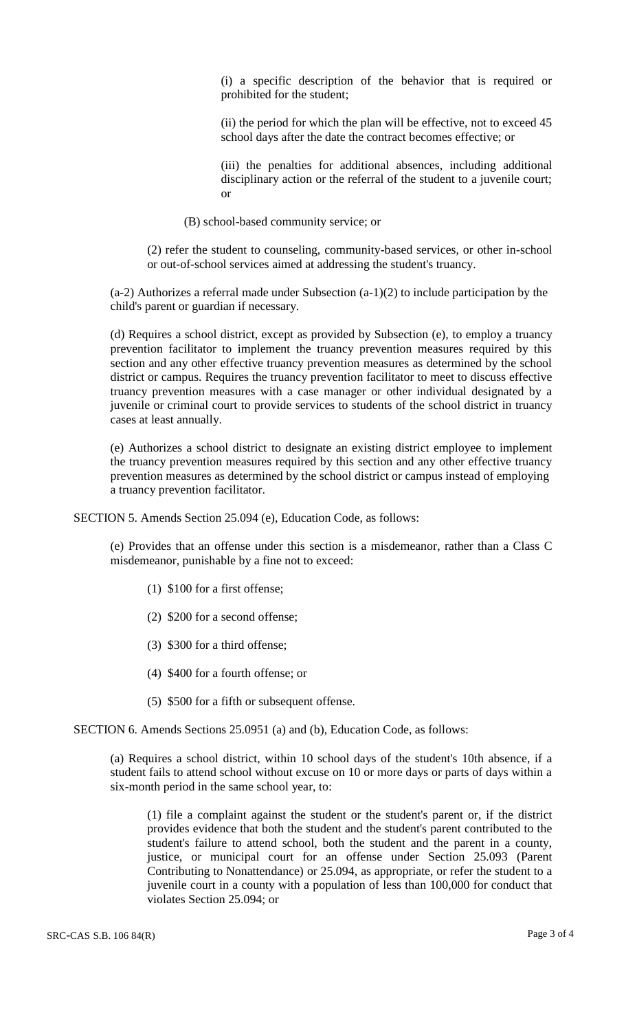(i) a specific description of the behavior that is required or prohibited for the student;

(ii) the period for which the plan will be effective, not to exceed 45 school days after the date the contract becomes effective; or

(iii) the penalties for additional absences, including additional disciplinary action or the referral of the student to a juvenile court; or

(B) school-based community service; or

(2) refer the student to counseling, community-based services, or other in-school or out-of-school services aimed at addressing the student's truancy.

(a-2) Authorizes a referral made under Subsection (a-1)(2) to include participation by the child's parent or guardian if necessary.

(d) Requires a school district, except as provided by Subsection (e), to employ a truancy prevention facilitator to implement the truancy prevention measures required by this section and any other effective truancy prevention measures as determined by the school district or campus. Requires the truancy prevention facilitator to meet to discuss effective truancy prevention measures with a case manager or other individual designated by a juvenile or criminal court to provide services to students of the school district in truancy cases at least annually.

(e) Authorizes a school district to designate an existing district employee to implement the truancy prevention measures required by this section and any other effective truancy prevention measures as determined by the school district or campus instead of employing a truancy prevention facilitator.

SECTION 5. Amends Section 25.094 (e), Education Code, as follows:

(e) Provides that an offense under this section is a misdemeanor, rather than a Class C misdemeanor, punishable by a fine not to exceed:

- (1) \$100 for a first offense;
- (2) \$200 for a second offense;
- (3) \$300 for a third offense;
- (4) \$400 for a fourth offense; or
- (5) \$500 for a fifth or subsequent offense.

SECTION 6. Amends Sections 25.0951 (a) and (b), Education Code, as follows:

(a) Requires a school district, within 10 school days of the student's 10th absence, if a student fails to attend school without excuse on 10 or more days or parts of days within a six-month period in the same school year, to:

(1) file a complaint against the student or the student's parent or, if the district provides evidence that both the student and the student's parent contributed to the student's failure to attend school, both the student and the parent in a county, justice, or municipal court for an offense under Section 25.093 (Parent Contributing to Nonattendance) or 25.094, as appropriate, or refer the student to a juvenile court in a county with a population of less than 100,000 for conduct that violates Section 25.094; or